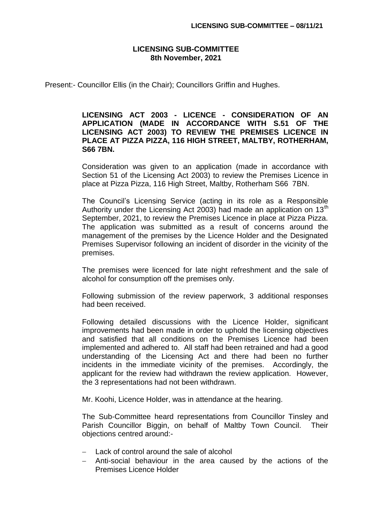## **LICENSING SUB-COMMITTEE 8th November, 2021**

Present:- Councillor Ellis (in the Chair); Councillors Griffin and Hughes.

## **LICENSING ACT 2003 - LICENCE - CONSIDERATION OF AN APPLICATION (MADE IN ACCORDANCE WITH S.51 OF THE LICENSING ACT 2003) TO REVIEW THE PREMISES LICENCE IN PLACE AT PIZZA PIZZA, 116 HIGH STREET, MALTBY, ROTHERHAM, S66 7BN.**

Consideration was given to an application (made in accordance with Section 51 of the Licensing Act 2003) to review the Premises Licence in place at Pizza Pizza, 116 High Street, Maltby, Rotherham S66 7BN.

The Council's Licensing Service (acting in its role as a Responsible Authority under the Licensing Act 2003) had made an application on  $13<sup>th</sup>$ September, 2021, to review the Premises Licence in place at Pizza Pizza. The application was submitted as a result of concerns around the management of the premises by the Licence Holder and the Designated Premises Supervisor following an incident of disorder in the vicinity of the premises.

The premises were licenced for late night refreshment and the sale of alcohol for consumption off the premises only.

Following submission of the review paperwork, 3 additional responses had been received.

Following detailed discussions with the Licence Holder, significant improvements had been made in order to uphold the licensing objectives and satisfied that all conditions on the Premises Licence had been implemented and adhered to. All staff had been retrained and had a good understanding of the Licensing Act and there had been no further incidents in the immediate vicinity of the premises. Accordingly, the applicant for the review had withdrawn the review application. However, the 3 representations had not been withdrawn.

Mr. Koohi, Licence Holder, was in attendance at the hearing.

The Sub-Committee heard representations from Councillor Tinsley and Parish Councillor Biggin, on behalf of Maltby Town Council. Their objections centred around:-

- Lack of control around the sale of alcohol
- Anti-social behaviour in the area caused by the actions of the Premises Licence Holder